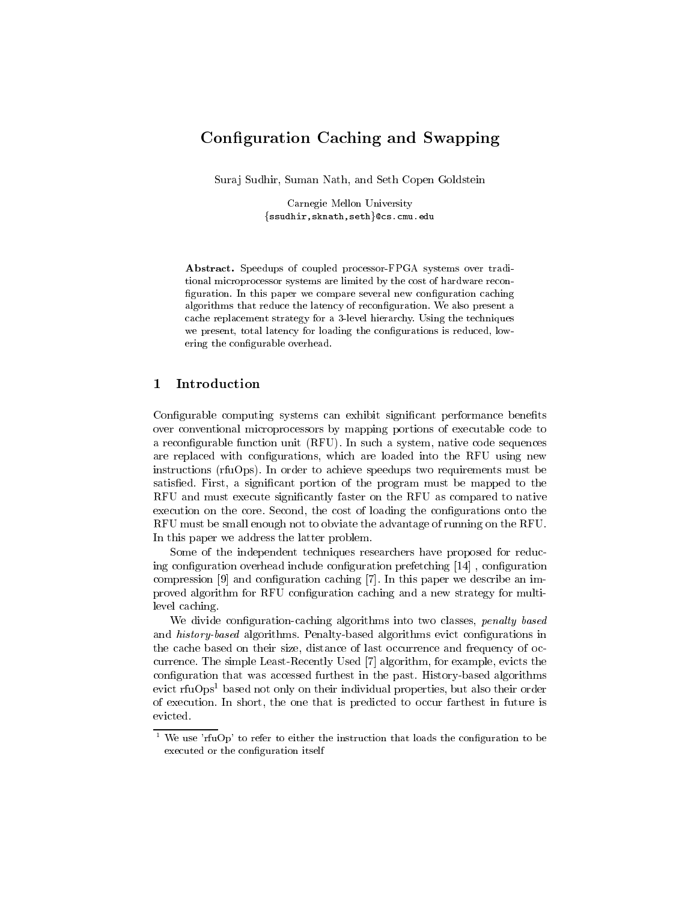# contract contract contract contract contract contract of the Swapping contract of the Swapping Caching Contract of the Swapping Caching Contract of the Swapping Caching Contract of the Swapping Caching Caching Caching Cach

Suraj Sudhir, Suman Nath, and Seth Copen Goldstein

Carnegie Mellon University {ssudhir, sknath, seth}@cs.cmu.edu

Abstract. Speedups of coupled processor-FPGA systems over traditional microprocessor systems are limited by the cost of hardware recon figuration. In this paper we compare several new configuration caching algorithms that reduce the latency of reconguration. We also present a cache replacement strategy for a 3-level hierarchy. Using the techniques we present, total latency for loading the congurations is reduced, low ering the configurable overhead.

### $\mathbf{1}$

Configurable computing systems can exhibit significant performance benefits over conventional microprocessors by mapping portions of executable code to a reconfigurable function unit (RFU). In such a system, native code sequences are replaced with configurations, which are loaded into the RFU using new instructions (rfuOps). In order to achieve speedups two requirements must be satisfied. First, a significant portion of the program must be mapped to the RFU and must execute signicantly faster on the RFU as compared to native execution on the core. Second, the cost of loading the configurations onto the RFU must be small enough not to obviate the advantage of running on the RFU. In this paper we address the latter problem.

Some of the independent techniques researchers have proposed for reducing configuration overhead include configuration prefetching [14], configuration compression [9] and configuration caching [7]. In this paper we describe an improved algorithm for RFU configuration caching and a new strategy for multilevel caching.

We divide configuration-caching algorithms into two classes, *penalty based* and history-based algorithms. Penalty-based algorithms evict configurations in the cache based on their size, distance of last occurrence and frequency of occurrence. The simple Least-Recently Used [7] algorithm, for example, evicts the conguration that was accessed furthest in the past. History-based algorithms evict rfuOps<sup>1</sup> based not only on their individual properties, but also their order of execution. In short, the one that is predicted to occur farthest in future is evicted.

<sup>1</sup> We use 'rfuOp' to refer to either the instruction that loads the conguration to be executed or the configuration itself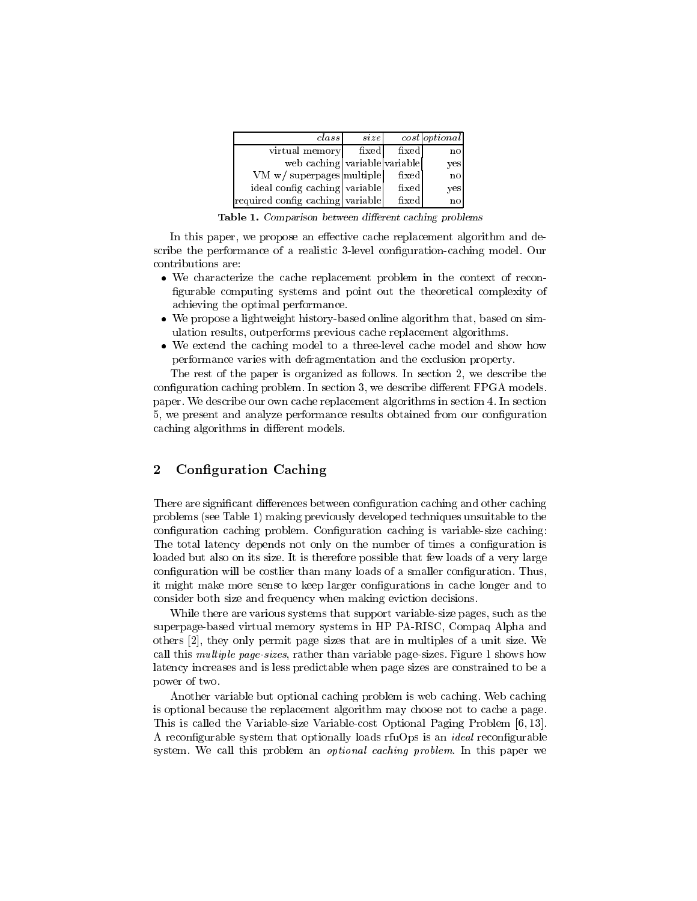| class                            | size  |       | cost[optional] |
|----------------------------------|-------|-------|----------------|
| virtual memory                   | fixed | fixed | no             |
| web caching variable variable    |       |       | yes            |
| VM w/ superpages multiple        |       | fixed | $\overline{a}$ |
| ideal config caching variable    |       | fixed | yes            |
| required config caching variable |       | fixed | $\mathbf{n}$ o |

Table 1. Comparison between different caching problems

In this paper, we propose an effective cache replacement algorithm and describe the performance of a realistic 3-level configuration-caching model. Our contributions are:

- We characterize the cache replacement problem in the context of recon figurable computing systems and point out the theoretical complexity of achieving the optimal performance.
- We propose a lightweight history-based online algorithm that, based on simulation results, outperforms previous cache replacement algorithms.
- We extend the caching model to a three-level cache model and show how performance varies with defragmentation and the exclusion property.

The rest of the paper is organized as follows. In section 2, we describe the configuration caching problem. In section 3, we describe different FPGA models. paper. We describe our own cache replacement algorithms in section 4. In section 5, we present and analyze performance results obtained from our conguration caching algorithms in different models.

# 2 Configuration Caching

There are significant differences between configuration caching and other caching problems (see Table 1) making previously developed techniques unsuitable to the configuration caching problem. Configuration caching is variable-size caching: The total latency depends not only on the number of times a configuration is loaded but also on its size. It is therefore possible that few loads of a very large configuration will be costlier than many loads of a smaller configuration. Thus, it might make more sense to keep larger configurations in cache longer and to consider both size and frequency when making eviction decisions.

While there are various systems that support variable-size pages, such as the superpage-based virtual memory systems in HP PA-RISC, Compaq Alpha and others [2], they only permit page sizes that are in multiples of a unit size. We call this *multiple page-sizes*, rather than variable page-sizes. Figure 1 shows how latency increases and is less predictable when page sizes are constrained to be a power of two.

Another variable but optional caching problem is web caching. Web caching is optional because the replacement algorithm may choose not to cache a page. This is called the Variable-size Variable-cost Optional Paging Problem [6, 13]. A reconfigurable system that optionally loads rfuOps is an *ideal* reconfigurable system. We call this problem an optional caching problem. In this paper we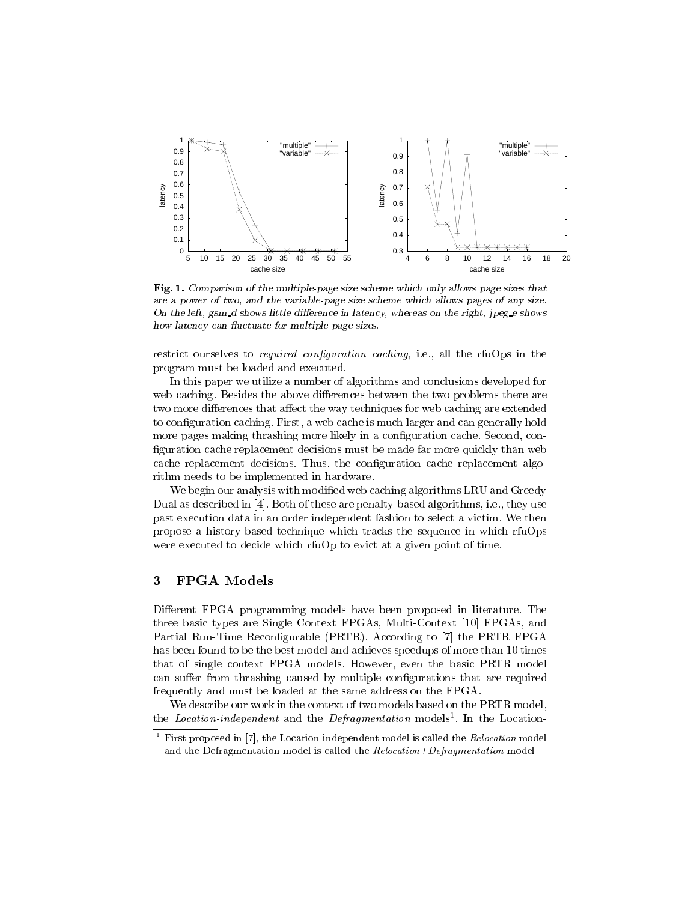

Fig. 1. Comparison of the multiple-page size scheme which only allows page sizes that are a power of two, and the variable-page size scheme which allows pages of any size. On the left,  $g\sin 1$  shows little difference in latency, whereas on the right, jpege shows how latency can fluctuate for multiple page sizes.

restrict ourselves to *required configuration caching*, i.e., all the rfuOps in the program must be loaded and executed.

In this paper we utilize a number of algorithms and conclusions developed for web caching. Besides the above differences between the two problems there are two more differences that affect the way techniques for web caching are extended to configuration caching. First, a web cache is much larger and can generally hold more pages making thrashing more likely in a conguration cache. Second, con figuration cache replacement decisions must be made far more quickly than web cache replacement decisions. Thus, the configuration cache replacement algorithm needs to be implemented in hardware.

We begin our analysis with modified web caching algorithms LRU and Greedy-Dual as described in [4]. Both of these are penalty-based algorithms, i.e., they use past execution data in an order independent fashion to select a victim. We then propose a history-based technique which tracks the sequence in which rfuOps were executed to decide which rfuOp to evict at a given point of time.

# 3 FPGA Models

Different FPGA programming models have been proposed in literature. The three basic types are Single Context FPGAs, Multi-Context [10] FPGAs, and Partial Run-Time Reconfigurable (PRTR). According to [7] the PRTR FPGA has been found to be the best model and achieves speedups of more than 10 times that of single context FPGA models. However, even the basic PRTR model can suffer from thrashing caused by multiple configurations that are required frequently and must be loaded at the same address on the FPGA.

We describe our work in the context of two models based on the PRTR model. the  $\emph{Local}$   $\emph{non-linear}$  and the  $\emph{per}$   $\emph{per}$   $\emph{uncurrent}$  models". In the  $\emph{Local}$   $\emph{non-linear}$ 

<sup>1</sup> First proposed in  $\lceil7\rceil$ , the Location-independent model is called the *Relocation* model and the Defragmentation model is called the  $Relocation+Defragmentation$  model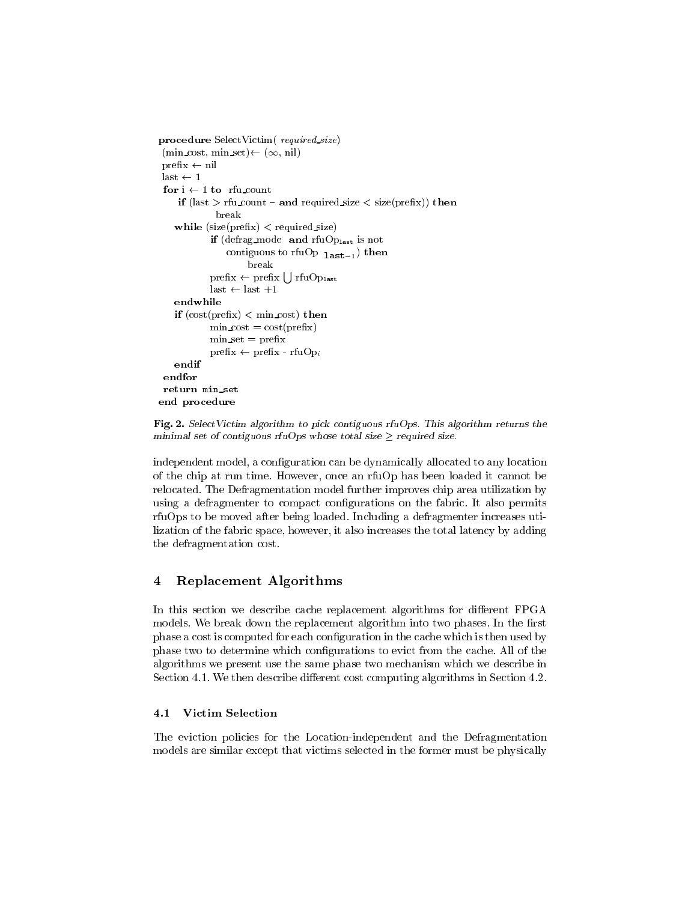```
procedure SelectVictim( required size)
(\min \csc, \min \ssc) \leftarrow (\infty, \text{nil})prefix \leftarrow nillast \leftarrow 1for i \leftarrow 1 to rfu count
      if (last > rfu_count - and required size < size(prefix)) then
     while (size(prefix) < required_size)if (defrag mode and rfuOp<sub>last</sub> is not
                       \sim continuous to relation the relationship of the relationship \sim . Then \sim 1 and 1 \sim 1 and 1 \sim 1 and 1 \sim 1 and 1 \sim 1 and 1 \sim 1 and 1 \sim 1 and 1 \sim 1 and 1 \sim 1 and 1 \sim 1 and 1 \sim 1 and 1 break
                  \text{prefix} \leftarrow \text{prefix} \mid \text{]} \text{rfuOp}_{\text{last}}last \leftarrow last +1endwhile
     if (cost(prefix) < min\_cost) then
                 min\_cost = cost(prefix)min_set = prefixprefix \leftarrow prefix - rfuOp_iendif
 endfor
 return min set
end procedure
```

```
Fig. 2. SelectVictim algorithm to pick contiguous rfuOps. This algorithm returns the
minimal set of contiguous rfuOps whose total size \geq required size.
```
independent model, a configuration can be dynamically allocated to any location of the chip at run time. However, once an rfuOp has been loaded it cannot be relocated. The Defragmentation model further improves chip area utilization by using a defragmenter to compact configurations on the fabric. It also permits rfuOps to be moved after being loaded. Including a defragmenter increases utilization of the fabric space, however, it also increases the total latency by adding the defragmentation cost.

# 4 Replacement Algorithms

In this section we describe cache replacement algorithms for different FPGA models. We break down the replacement algorithm into two phases. In the first phase a cost is computed for each configuration in the cache which is then used by phase two to determine which congurations to evict from the cache. All of the algorithms we present use the same phase two mechanism which we describe in Section 4.1. We then describe different cost computing algorithms in Section 4.2.

### $4.1$ Victim Selection

The eviction policies for the Location-independent and the Defragmentation models are similar except that victims selected in the former must be physically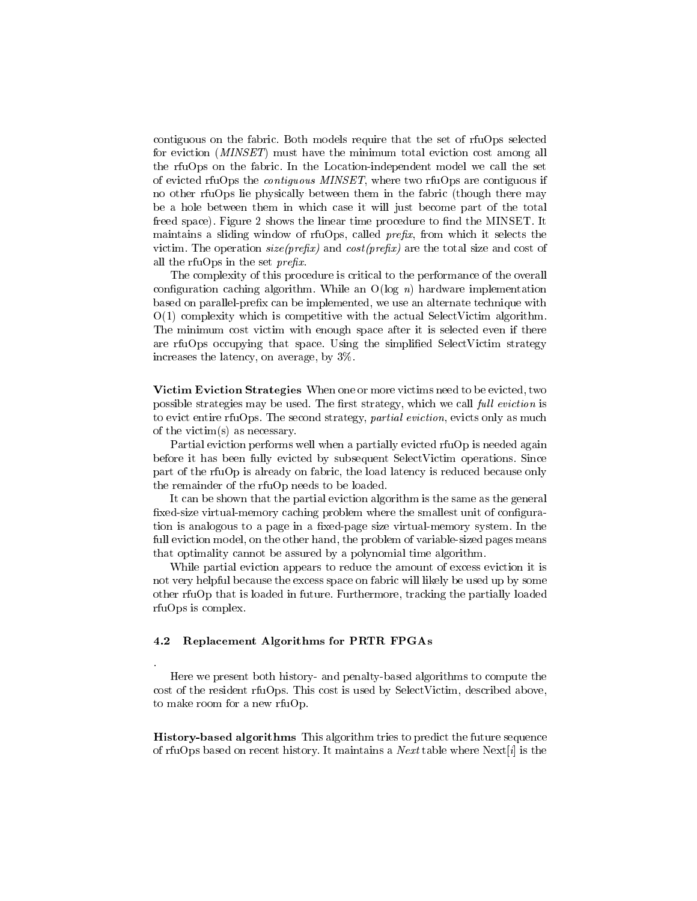contiguous on the fabric. Both models require that the set of rfuOps selected for eviction (MINSET) must have the minimum total eviction cost among all the rfuOps on the fabric. In the Location-independent model we call the set of evicted rfuOps the contiguous MINSET, where two rfuOps are contiguous if no other rfuOps lie physically between them in the fabric (though there may be a hole between them in which case it will just become part of the total freed space). Figure 2 shows the linear time procedure to find the MINSET. It maintains a sliding window of rfuOps, called  $prefix$ , from which it selects the victim. The operation  $size(prefix)$  and  $cost(prefix)$  are the total size and cost of all the rfuOps in the set  $prefix.$ 

The complexity of this procedure is critical to the performance of the overall configuration caching algorithm. While an  $O(log n)$  hardware implementation based on parallel-prefix can be implemented, we use an alternate technique with  $O(1)$  complexity which is competitive with the actual Select Victim algorithm. The minimum cost victim with enough space after it is selected even if there are rfuOps occupying that space. Using the simplied SelectVictim strategy increases the latency, on average, by 3%.

Victim Eviction Strategies When one or more victims need to be evicted, two possible strategies may be used. The first strategy, which we call *full eviction* is to evict entire rfuOps. The second strategy, *partial eviction*, evicts only as much of the victim(s) as necessary.

Partial eviction performs well when a partially evicted rfuOp is needed again before it has been fully evicted by subsequent SelectVictim operations. Since part of the rfuOp is already on fabric, the load latency is reduced because only the remainder of the rfuOp needs to be loaded.

It can be shown that the partial eviction algorithm is the same as the general fixed-size virtual-memory caching problem where the smallest unit of configuration is analogous to a page in a fixed-page size virtual-memory system. In the full eviction model, on the other hand, the problem of variable-sized pages means that optimality cannot be assured by a polynomial time algorithm.

While partial eviction appears to reduce the amount of excess eviction it is not very helpful because the excess space on fabric will likely be used up by some other rfuOp that is loaded in future. Furthermore, tracking the partially loaded rfuOps is complex.

### 4.2 Replacement Algorithms for PRTR FPGAs

Here we present both history- and penalty-based algorithms to compute the cost of the resident rfuOps. This cost is used by SelectVictim, described above, to make room for a new rfuOp.

History-based algorithms This algorithm tries to predict the future sequence of rfuOps based on recent history. It maintains a *Next* table where  $Next[i]$  is the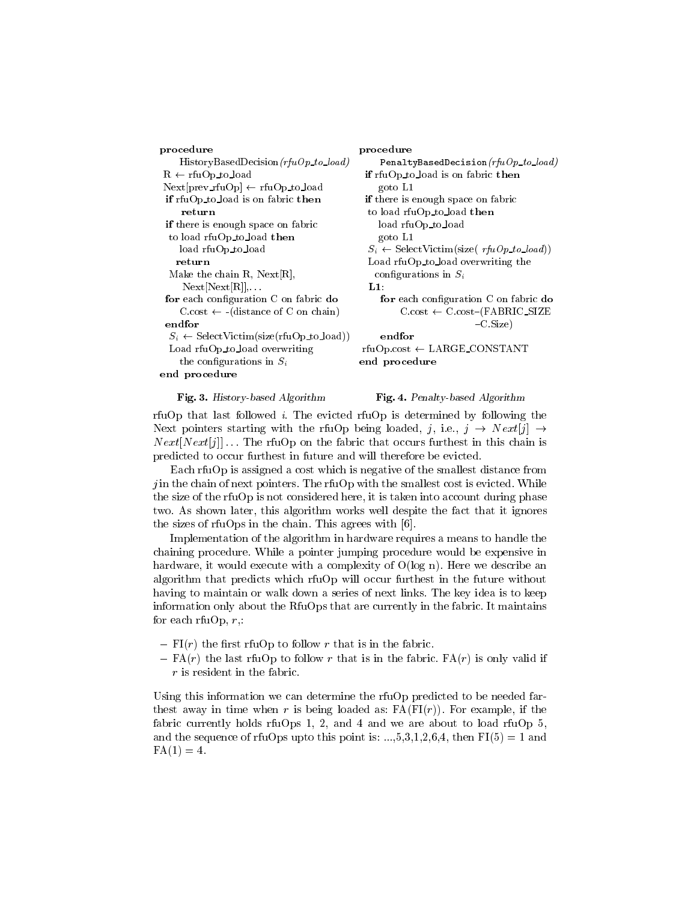| procedure                                             | proc        |
|-------------------------------------------------------|-------------|
| HistoryBasedDecision $(rfuOp_to\_load)$               |             |
| $R \leftarrow$ rfuOp to load                          | if rf       |
| $Next[prev_f(uOp] \leftarrow rfuOp_to.load$           | β           |
| if rfuOp_to_load is on fabric then                    | if tl       |
| return                                                | to l        |
| <b>if</b> there is enough space on fabric             | 1           |
| to load rfuOp_to_load then                            | g           |
| load rfuOp_to_load                                    | $S_i$ :     |
| return                                                | Loa         |
| Make the chain R, Next[R],                            | $_{\rm cc}$ |
| Next[Next[R]],                                        | L1          |
| for each configuration C on fabric do                 |             |
| $C \text{ cost } \leftarrow$ (distance of C on chain) |             |
| endfor                                                |             |
| $S_i \leftarrow$ Select Victim(size(rfuOp_to_load))   |             |
| Load rfuOp_to_load overwriting                        | rfuO        |
| the configurations in $S_i$                           | end         |
| end procedure                                         |             |

```
procedure
     PenaltyBasedDecision(rfuOp\_to\_load)if rfuOp to load is on fabric then
     goto L1
 if there is enough space on fabric
  to load rfuOp to load then
    load rfuOp to load
     goto L1
  S_i \leftarrow \text{SelectVictim}(\text{size}(\text{rfu}Op\_to\_load))Load rfuOp to load overwriting the
    configurations in S_iL1:<br>for each configuration C on fabric do
          C.\text{cost} \leftarrow C.\text{cost}-(\text{FABRIC\_SIZE})-C Size)
     endfor
 rfuOp.cost \leftarrow LARGE\_CONSTANT
```
end procedure

Fig. 3. History-based Algorithm Fig. 4. Penalty-based Algorithm

rfuOp that last followed *i*. The evicted rfuOp is determined by following the Next pointers starting with the rfuOp being loaded, j, i.e.,  $j \rightarrow Next[j] \rightarrow$  $Next[Next[j]] \dots$  The rfuOp on the fabric that occurs furthest in this chain is predicted to occur furthest in future and will therefore be evicted.

Each rfuOp is assigned a cost which is negative of the smallest distance from j in the chain of next pointers. The rfuOp with the smallest cost is evicted. While the size of the rfuOp is not considered here, it is taken into account during phase two. As shown later, this algorithm works well despite the fact that it ignores the sizes of rfuOps in the chain. This agrees with [6].

Implementation of the algorithm in hardware requires a means to handle the chaining procedure. While a pointer jumping procedure would be expensive in hardware, it would execute with a complexity of O(log n). Here we describe an algorithm that predicts which rfuOp willoccur furthest in the future without having to maintain or walk down a series of next links. The key idea is to keep information only about the RfuOps that are currently in the fabric. It maintains for each rfuOp,  $r$ ,

- ${\rm F\,}$  FI(r) the first rfuOp to follow r that is in the fabric.
- ${\rm F_A}(r)$  the last rfuOp to follow r that is in the fabric.  ${\rm FA}(r)$  is only valid if <sup>r</sup> is resident in the fabric.

Using this information we can determine the rfuOp predicted to be needed farthest away in time when r is being loaded as:  $FA(FI(r))$ . For example, if the fabric currently holds rfuOps 1, 2, and 4 and we are about to load rfuOp 5. and the sequence of rfuOps upto this point is: ...,  $5,3,1,2,6,4$ , then  $FI(5) = 1$  and  $FA(1) = 4.$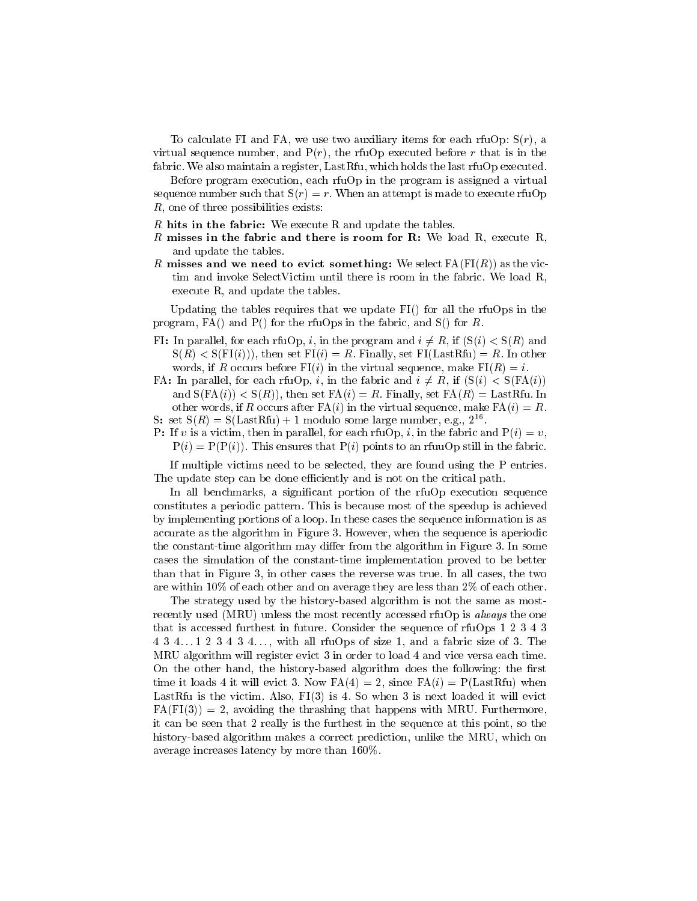To calculate FI and FA, we use two auxiliary items for each rfuOp:  $S(r)$ , a virtual sequence number, and  $P(r)$ , the rfuOp executed before r that is in the fabric. We also maintain a register, LastRfu, which holds the last rfuOp executed.

Before program execution, each rfuOp in the program is assigned a virtual sequence number such that  $S(r) = r$ . When an attempt is made to execute rfuOp  $R$ , one of three possibilities exists:

- <sup>R</sup> hits in the fabric: We execute R and update the tables.
- $R$  misses in the fabric and there is room for R: We load R, execute R, and update the tables.
- R misses and we need to evict something: We select  $FA(FI(R))$  as the victim andinvoke SelectVictim until there is room in the fabric. We load R, execute R, and update the tables.

Updating the tables requires that we update  $\text{FI}($ ) for all the rfuOps in the program,  $FA()$  and  $P()$  for the rfuOps in the fabric, and  $S()$  for R.

- FI: In parallel, for each rfuOp, i, in the program and  $i \neq R$ , if  $(S(i) < S(R)$  and  $S(R) < S(FI(i))$ , then set  $FI(i) = R$ . Finally, set  $FI(LastRfu) = R$ . In other words, if R occurs before  $FI(i)$  in the virtual sequence, make  $FI(R) = i$ .
- FA: In parallel, for each rfuOp, i, in the fabric and  $i \neq R$ , if  $(S(i) < S(FA(i))$ and  $S(FA(i)) < S(R)$ , then set  $FA(i) = R$ . Finally, set  $FA(R) = LastRfu$ . In other words, if R occurs after  $FA(i)$  in the virtual sequence, make  $FA(i) = R$ .  $S:$  set  $S(R) = S(LastN) + 1$  modulo some large number, e.g., 2<sup>-1</sup>
- P: If v is a victim, then in parallel, for each rfuOp, i, in the fabric and  $P(i) = v$ ,  $P(i)=P(P(i))$ . This ensures that  $P(i)$  points to an rfuuOp still in the fabric.

If multiple victims need to be selected, they are found using the P entries. The update step can be done efficiently and is not on the critical path.

In all benchmarks, a signicant portion of the rfuOp execution sequence constitutes a periodic pattern. This is because most of the speedup is achieved by implementing portions of a loop. In these cases the sequence information is as accurate as the algorithm in Figure 3. However, when the sequence is aperiodic the constant-time algorithm may differ from the algorithm in Figure 3. In some cases the simulation of the constant-time implementation proved to be better than that in Figure 3, in other cases the reverse was true. In all cases, the two are within 10% of each other and on average they are less than 2% of each other.

The strategy used by the history-based algorithm is not the same as mostrecently used (MRU) unless the most recently accessed rfuOp is *always* the one that is accessed furthest in future. Consider the sequence of rfuOps 1 2 3 4 3 4 3 4. . . 1 2 3 4 3 4. . . , with all rfuOps of size 1, and a fabric size of 3. The MRU algorithm will register evict 3 in order to load 4 and vice versa each time. On the other hand, the history-based algorithm does the following: the first time it loads 4 it will evict 3. Now  $FA(4) = 2$ , since  $FA(i) = P(LastRfu)$  when LastRfu is the victim. Also,  $FI(3)$  is 4. So when 3 is next loaded it will evict  $FA(FI(3)) = 2$ , avoiding the thrashing that happens with MRU. Furthermore, it can be seen that 2 really is the furthest in the sequence at this point, so the history-based algorithm makes a correct prediction, unlike the MRU, which on average increases latency by more than 160%.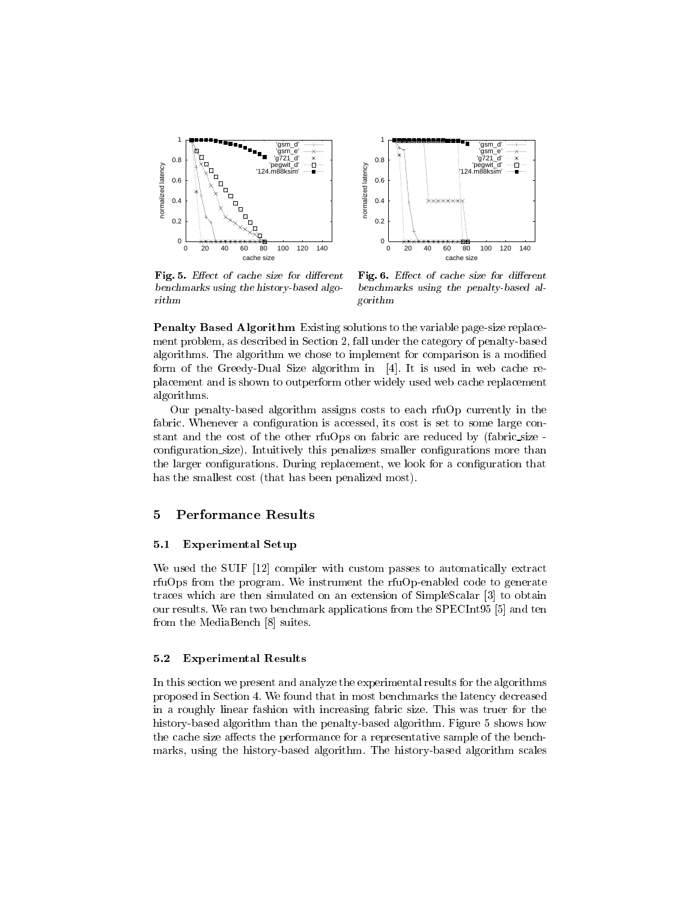



Fig. 5. Effect of cache size for different benchmarks using the history-based algorithm

Fig. 6. Effect of cache size for different benchmarks using the penalty-based algorithm

Penalty Based Algorithm Existing solutions to the variable page-size replacement problem, as described in Section 2, fall under the category of penalty-based algorithms. The algorithm we chose to implement for comparison is a modied form of the Greedy-Dual Size algorithm in [4]. It is used in web cache replacement and is shown to outperform other widely used web cache replacement algorithms.

Our penalty-based algorithm assigns costs to each rfuOp currently in the fabric. Whenever a configuration is accessed, its cost is set to some large constant and the cost of the other rfuOps on fabric are reduced by (fabric size configuration\_size). Intuitively this penalizes smaller configurations more than the larger configurations. During replacement, we look for a configuration that has the smallest cost (that has been penalized most).

### $\overline{5}$ 5 Performance Results

### 5.1 Experimental Setup

We used the SUIF [12] compiler with custom passes to automatically extract rfuOps from the program. We instrument the rfuOp-enabled code to generate traces which are then simulated on an extension of SimpleScalar [3] to obtain our results. We ran two benchmark applications from the SPECInt95 [5] and ten from the MediaBench [8] suites.

### 5.2 Experimental Results

In this section we present and analyze the experimental results for the algorithms proposed in Section 4. We found that in most benchmarks the latency decreased in a roughly linear fashion with increasing fabric size. This was truer for the history-based algorithm than the penalty-based algorithm. Figure 5 shows how the cache size affects the performance for a representative sample of the benchmarks, using the history-based algorithm. The history-based algorithm scales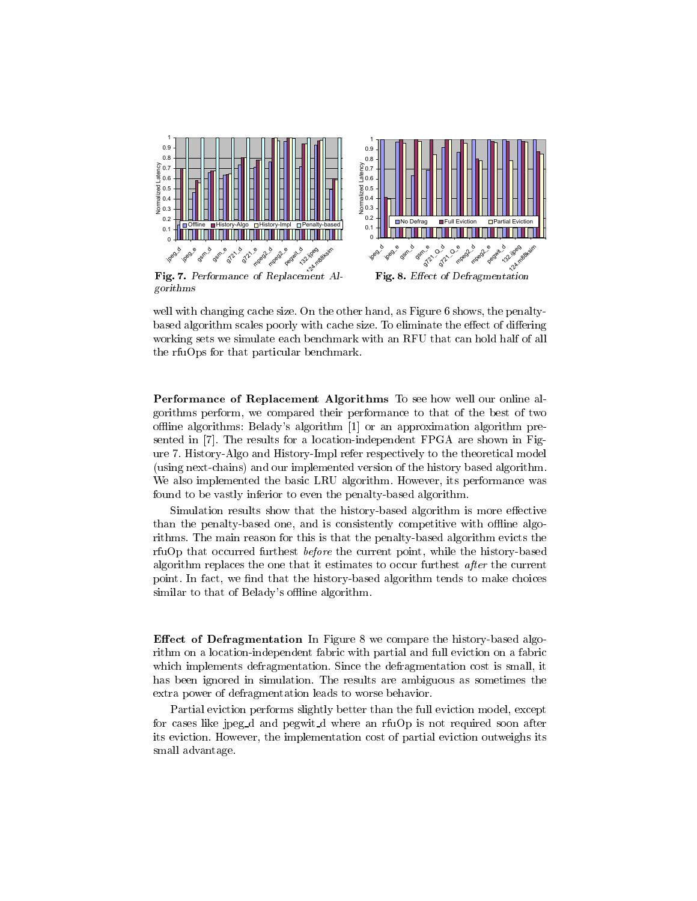

well with changing cache size. On the other hand, as Figure 6 shows, the penaltybased algorithm scales poorly with cache size. To eliminate the effect of differing working sets we simulate each benchmark with an RFU that can hold half of all the rfuOps for that particular benchmark.

Performance of Replacement Algorithms To see how well our online algorithms perform, we compared their performance to that of the best of two offline algorithms: Belady's algorithm  $[1]$  or an approximation algorithm presented in [7]. The results for a location-independent FPGA are shown in Figure 7. History-Algo and History-Impl refer respectively to the theoretical model (using next-chains) and our implemented version of the history based algorithm. We also implemented the basic LRU algorithm. However, its performance was found to be vastly inferior to even the penalty-based algorithm.

Simulation results show that the history-based algorithm is more effective than the penalty-based one, and is consistently competitive with offline algorithms. The main reason for this is that the penalty-based algorithm evicts the rfuOp that occurred furthest before the current point, while the history-based algorithm replaces the one that it estimates to occur furthest after the current point. In fact, we find that the history-based algorithm tends to make choices similar to that of Belady's offline algorithm.

Effect of Defragmentation In Figure 8 we compare the history-based algorithm on a location-independent fabric with partial and full eviction on a fabric which implements defragmentation. Since the defragmentation cost is small, it has been ignored in simulation. The results are ambiguous as sometimes the extra power of defragmentation leads to worse behavior.

Partial eviction performs slightly better than the full eviction model, except for cases like jpeg d and pegwit d where an rfuOp is not required soon after its eviction. However, the implementation cost of partial eviction outweighs its small advantage.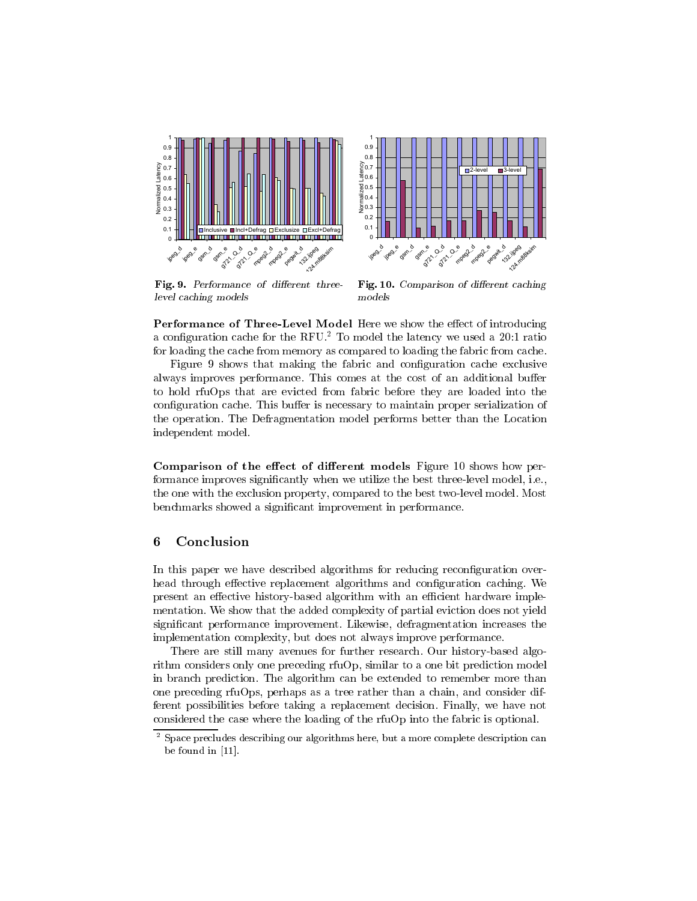

Fig. 9. Performance of different threelevel caching models

Fig. 10. Comparison of different caching models

Performance of Three-Level Model Here we show the effect of introducing a configuration cache for the RFU.<sup>2</sup> To model the latency we used a 20:1 ratio for loading the cache from memory as compared to loading the fabric from cache.

Figure 9 shows that making the fabric and configuration cache exclusive always improves performance. This comes at the cost of an additional buffer to hold rfuOps that are evicted from fabric before they are loaded into the configuration cache. This buffer is necessary to maintain proper serialization of the operation. The Defragmentation model performs better than the Location independent model.

Comparison of the effect of different models Figure 10 shows how performance improves significantly when we utilize the best three-level model, i.e., the one with the exclusion property, compared to the best two-level model. Most benchmarks showed a signicant improvement in performance.

# 6 Conclusion

In this paper we have described algorithms for reducing reconfiguration overhead through effective replacement algorithms and configuration caching. We present an effective history-based algorithm with an efficient hardware implementation. We show that the added complexity of partial eviction does not yield signicant performance improvement. Likewise, defragmentation increases the implementation complexity, but does not always improve performance.

There are still many avenues for further research. Our history-based algorithm considers only one preceding rfuOp, similar to a one bit prediction model in branch prediction. The algorithm can be extended to remember more than one preceding rfuOps, perhaps as a tree rather than a chain, and consider different possibilities before taking a replacement decision. Finally, we have not considered the case where the loading of the rfuOp into the fabric is optional.

<sup>2</sup> Space precludes describing our algorithms here, but a more complete description can be found in [11].